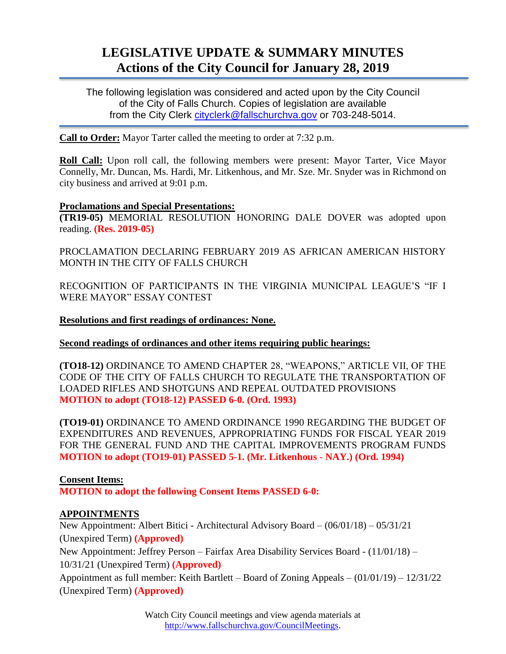# **LEGISLATIVE UPDATE & SUMMARY MINUTES Actions of the City Council for January 28, 2019**

The following legislation was considered and acted upon by the City Council of the City of Falls Church. Copies of legislation are available from the City Clerk [cityclerk@fallschurchva.gov](mailto:cityclerk@fallschurchva.gov) or 703-248-5014.

**Call to Order:** Mayor Tarter called the meeting to order at 7:32 p.m.

**Roll Call:** Upon roll call, the following members were present: Mayor Tarter, Vice Mayor Connelly, Mr. Duncan, Ms. Hardi, Mr. Litkenhous, and Mr. Sze. Mr. Snyder was in Richmond on city business and arrived at 9:01 p.m.

### **Proclamations and Special Presentations:**

**(TR19-05)** MEMORIAL RESOLUTION HONORING DALE DOVER was adopted upon reading. **(Res. 2019-05)**

PROCLAMATION DECLARING FEBRUARY 2019 AS AFRICAN AMERICAN HISTORY MONTH IN THE CITY OF FALLS CHURCH

RECOGNITION OF PARTICIPANTS IN THE VIRGINIA MUNICIPAL LEAGUE'S "IF I WERE MAYOR" ESSAY CONTEST

**Resolutions and first readings of ordinances: None.**

**Second readings of ordinances and other items requiring public hearings:**

**(TO18-12)** ORDINANCE TO AMEND CHAPTER 28, "WEAPONS," ARTICLE VII, OF THE CODE OF THE CITY OF FALLS CHURCH TO REGULATE THE TRANSPORTATION OF LOADED RIFLES AND SHOTGUNS AND REPEAL OUTDATED PROVISIONS **MOTION to adopt (TO18-12) PASSED 6-0. (Ord. 1993)**

**(TO19-01)** ORDINANCE TO AMEND ORDINANCE 1990 REGARDING THE BUDGET OF EXPENDITURES AND REVENUES, APPROPRIATING FUNDS FOR FISCAL YEAR 2019 FOR THE GENERAL FUND AND THE CAPITAL IMPROVEMENTS PROGRAM FUNDS **MOTION to adopt (TO19-01) PASSED 5-1. (Mr. Litkenhous - NAY.) (Ord. 1994)**

# **Consent Items:**

**MOTION to adopt the following Consent Items PASSED 6-0:**

# **APPOINTMENTS**

New Appointment: Albert Bitici - Architectural Advisory Board – (06/01/18) – 05/31/21 (Unexpired Term) **(Approved)** New Appointment: Jeffrey Person – Fairfax Area Disability Services Board - (11/01/18) – 10/31/21 (Unexpired Term) **(Approved)** Appointment as full member: Keith Bartlett – Board of Zoning Appeals – (01/01/19) – 12/31/22 (Unexpired Term) **(Approved)**